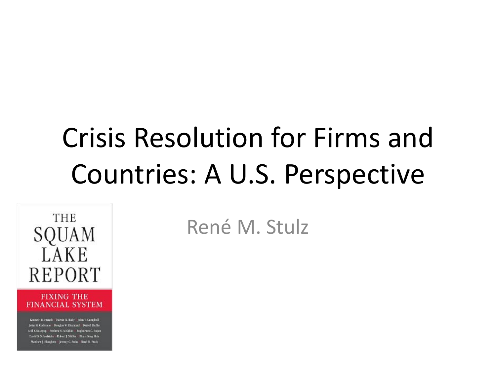# Crisis Resolution for Firms and Countries: A U.S. Perspective

**THE** SQUAM LAKE **REPORT** 

#### **FIXING THE FINANCIAL SYSTEM**

Kenneth R. French - Nortin N. Baily - John Y. Cangdell John H. Cochrane Douglas W. Disnoyed Darrell Duffle Anil K Kashyap - Evolveic S. Mishkim - Ragharam G. Rajan David S. Schurfstein - Robert J. Shiller - Denn Song Shin. Matthew J. Shoughter Jeremy C. Stein Bené M. Stulz

René M. Stulz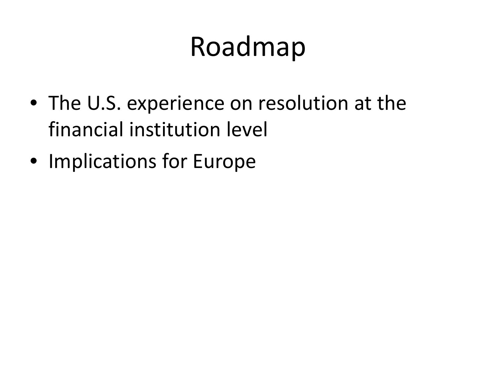### Roadmap

- The U.S. experience on resolution at the financial institution level
- Implications for Europe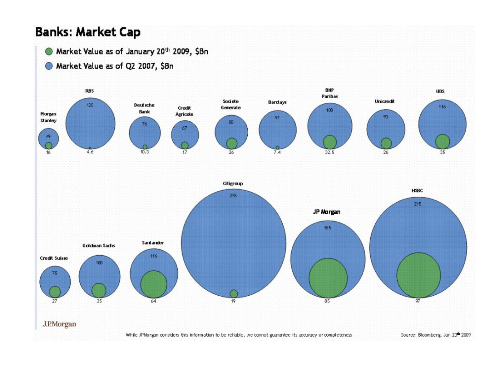#### **Banks: Market Cap** Market Value as of January 20th 2009, \$Bn Market Value as of Q2 2007, \$Bn **BNP RBS UBS** Paribas Unicredit Societe **Bardays** 120 **Deutsche** 116 Credit Generale 108 Bank Morgan Agricole 93 **Stanley**  $80$ 76 75  $4.6$  $10.3$  $7.4$  $32.5$ 26 17 26 35 **Citigroup HSBC** 255 215 JP Morgan 165 Sant ander **Goldman Sachs** 116 **Credit Suisse** 100  $\overline{19}$ 85  $\overline{q}$ 35 64 **J.P.Morgan**

While JPMorgan considers this information to be reliable, we cannot guarantee its accuracy or completeness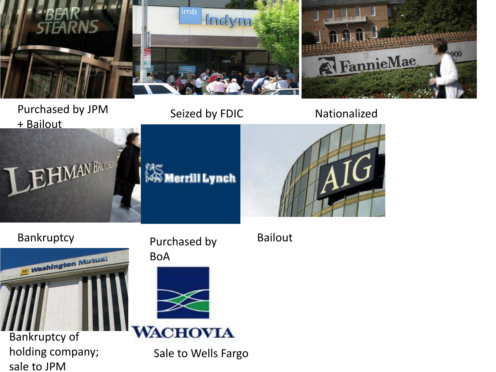

Purchased by JPM + Bailout



Seized by FDIC Nationalized





Bankruptcy of holding company; sale to JPM

Bankruptcy Purchased by BoA



Sale to Wells Fargo

Bailout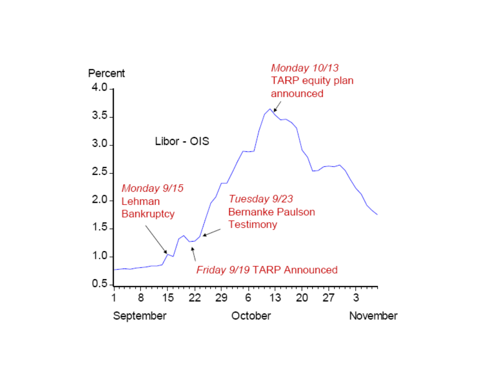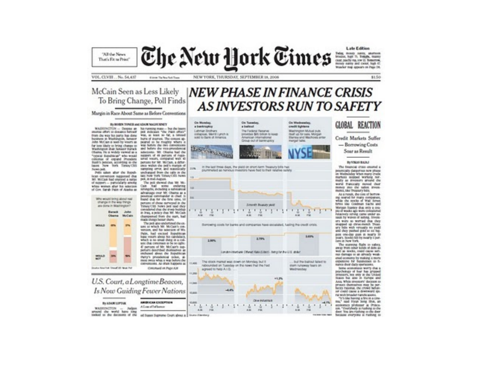

On Munder:

Late Edition

Today, money sames, attaroom,<br>fronton, han N. Yonigh, manny<br>class packy ag, low El. Bonorme,<br>money surity and count, had-of-Wooder map appears on Page DR.

\$1.50

VOL. CLVIII... No. 54,417 **States To Rey York Town** 

NEW YORK, THURSDAY, SEPTEMBER 18, 2006

On Torontay,

NEW PHASE IN FINANCE CRISIS

**AS INVESTORS RUN TO SAFETY** 

**Co Wednesday** 

McCain Seen as Less Likely To Bring Change, Poll Finds

Margin in Race About Same as Before Conventions

#### By BORDY TUNER and MACH NACHORNEY



amumil the world have long swhed to the deceives of the ad Saxon Suprame Court about a linear dimensy

door. You are maining us the door bocause everyone a rushing so-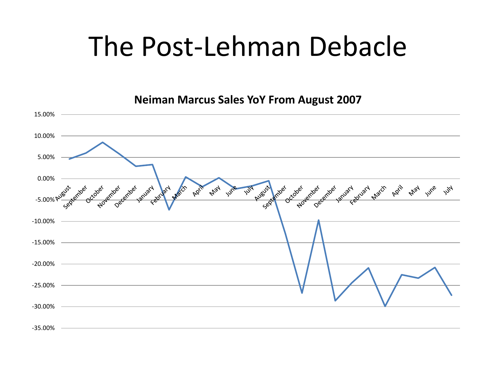#### The Post-Lehman Debacle

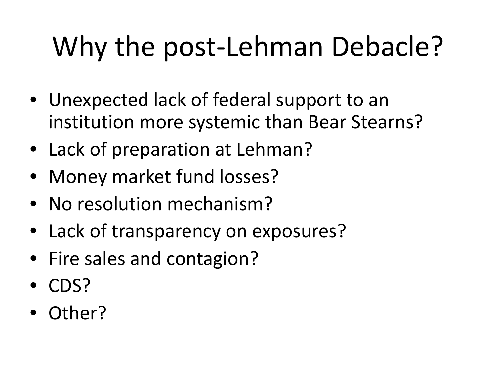# Why the post-Lehman Debacle?

- Unexpected lack of federal support to an institution more systemic than Bear Stearns?
- Lack of preparation at Lehman?
- Money market fund losses?
- No resolution mechanism?
- Lack of transparency on exposures?
- Fire sales and contagion?
- CDS?
- Other?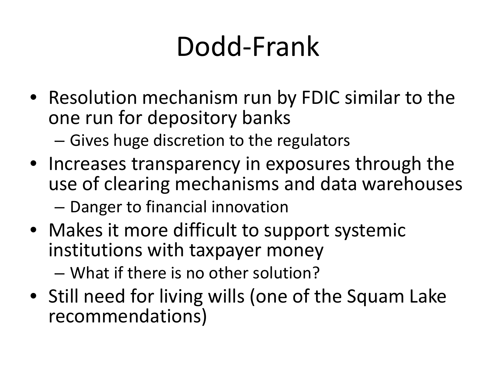## Dodd-Frank

• Resolution mechanism run by FDIC similar to the one run for depository banks

– Gives huge discretion to the regulators

- Increases transparency in exposures through the use of clearing mechanisms and data warehouses – Danger to financial innovation
- Makes it more difficult to support systemic institutions with taxpayer money

– What if there is no other solution?

• Still need for living wills (one of the Squam Lake recommendations)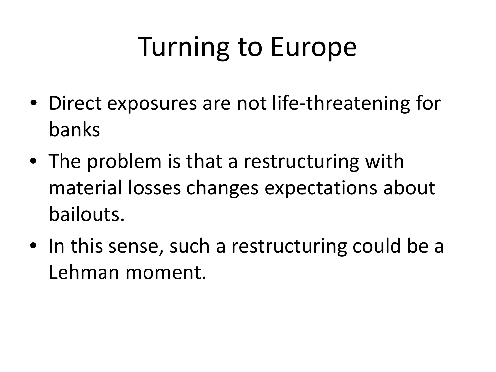## Turning to Europe

- Direct exposures are not life-threatening for banks
- The problem is that a restructuring with material losses changes expectations about bailouts.
- In this sense, such a restructuring could be a Lehman moment.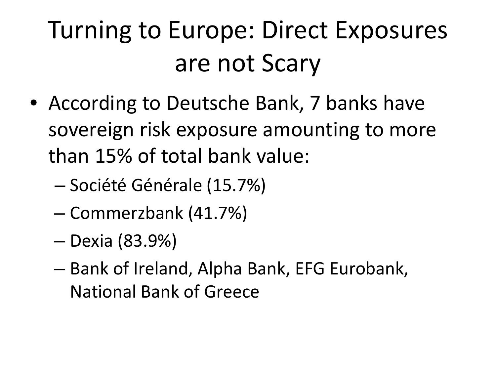#### Turning to Europe: Direct Exposures are not Scary

- According to Deutsche Bank, 7 banks have sovereign risk exposure amounting to more than 15% of total bank value:
	- Société Générale (15.7%)
	- Commerzbank (41.7%)
	- Dexia (83.9%)
	- Bank of Ireland, Alpha Bank, EFG Eurobank, National Bank of Greece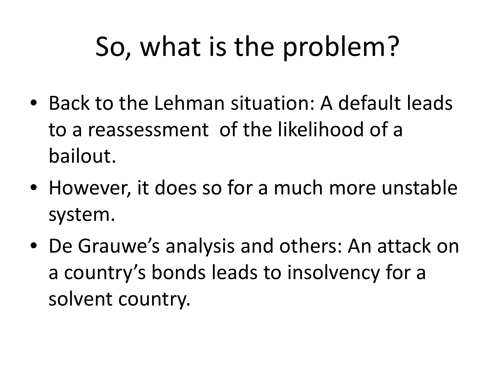## So, what is the problem?

- Back to the Lehman situation: A default leads to a reassessment of the likelihood of a bailout.
- However, it does so for a much more unstable system.
- De Grauwe's analysis and others: An attack on a country's bonds leads to insolvency for a solvent country.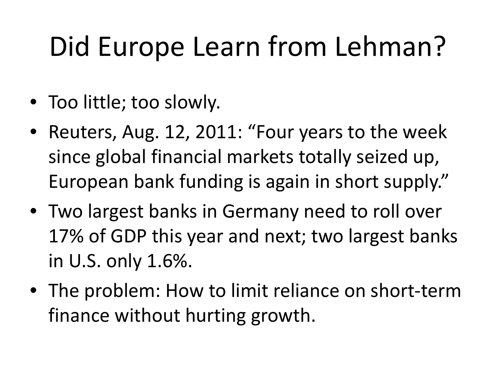# Did Europe Learn from Lehman?

- Too little; too slowly.
- Reuters, Aug. 12, 2011: "Four years to the week since global financial markets totally seized up, European bank funding is again in short supply."
- Two largest banks in Germany need to roll over 17% of GDP this year and next; two largest banks in U.S. only 1.6%.
- The problem: How to limit reliance on short-term finance without hurting growth.